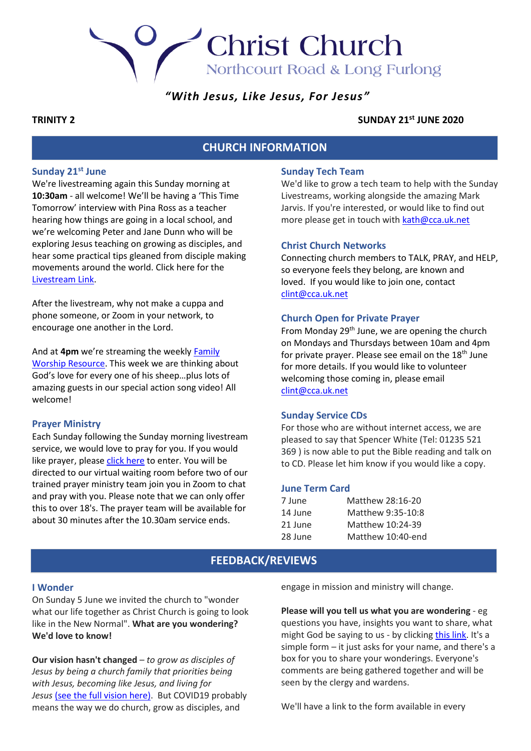Northcourt Road & Long Furlong

**Christ Church** 

# *"With Jesus, Like Jesus, For Jesus"*

#### **TRINITY 2 SUNDAY 21st JUNE 2020**

## **CHURCH INFORMATION**

## **Sunday 21st June**

We're livestreaming again this Sunday morning at **10:30am** - all welcome! We'll be having a 'This Time Tomorrow' interview with Pina Ross as a teacher hearing how things are going in a local school, and we're welcoming Peter and Jane Dunn who will be exploring Jesus teaching on growing as disciples, and hear some practical tips gleaned from disciple making movements around the world. Click here for th[e](https://youtu.be/NbSnWdFyZcE) [Livestream Link.](https://youtu.be/NbSnWdFyZcE)

After the livestream, why not make a cuppa and phone someone, or Zoom in your network, to encourage one another in the Lord.

And at **4pm** we're streaming the weekly [Family](https://youtu.be/lFJY9sn3NpA)  [Worship Resource.](https://youtu.be/lFJY9sn3NpA) This week we are thinking about God's love for every one of his sheep…plus lots of amazing guests in our special action song video! All welcome!

#### **Prayer Ministry**

Each Sunday following the Sunday morning livestream service, we would love to pray for you. If you would like prayer, please [click here](https://zoom.us/j/94957771641?pwd=a3luQnN2WmZIRWpzaTNVdEE4WWVxZz09) to enter. You will be directed to our virtual waiting room before two of our trained prayer ministry team join you in Zoom to chat and pray with you. Please note that we can only offer this to over 18's. The prayer team will be available for about 30 minutes after the 10.30am service ends.

## **Sunday Tech Team**

We'd like to grow a tech team to help with the Sunday Livestreams, working alongside the amazing Mark Jarvis. If you're interested, or would like to find out more please get in touch with [kath@cca.uk.net](mailto:kath@cca.uk.net)

#### **Christ Church Networks**

Connecting church members to TALK, PRAY, and HELP, so everyone feels they belong, are known and loved. If you would like to join one, contact [clint@cca.uk.net](mailto:clint@cca.uk.net)

#### **Church Open for Private Prayer**

From Monday  $29<sup>th</sup>$  June, we are opening the church on Mondays and Thursdays between 10am and 4pm for private prayer. Please see email on the  $18<sup>th</sup>$  June for more details. If you would like to volunteer welcoming those coming in, please email [clint@cca.uk.net](mailto:clint@cca.uk.net)

#### **Sunday Service CDs**

For those who are without internet access, we are pleased to say that Spencer White (Tel: 01235 521 369 ) is now able to put the Bible reading and talk on to CD. Please let him know if you would like a copy.

#### **June Term Card**

| 7 June  | Matthew 28:16-20  |
|---------|-------------------|
| 14 June | Matthew 9:35-10:8 |
| 21 June | Matthew 10:24-39  |
| 28 June | Matthew 10:40-end |

## **FEEDBACK/REVIEWS**

#### **I Wonder**

On Sunday 5 June we invited the church to "wonder what our life together as Christ Church is going to look like in the New Normal". **What are you wondering? We'd love to know!**

**Our vision hasn't changed** – *to grow as disciples of Jesus by being a church family that priorities being with Jesus, becoming like Jesus, and living for*  Jesus [\(see the full vision](https://cca.uk.net/docs/Vision-Summary-2019.pdf) here). But COVID19 probably means the way we do church, grow as disciples, and

engage in mission and ministry will change.

**Please will you tell us what you are wondering** - eg questions you have, insights you want to share, what might God be saying to us - by clicking [this link.](https://docs.google.com/forms/d/e/1FAIpQLSc5lA70GrWaVQ0ZwdFCqulf5ytsjUq0xGp-ngPuQrv6_WHcjA/viewform?usp=sf_link) It's a simple form – it just asks for your name, and there's a box for you to share your wonderings. Everyone's comments are being gathered together and will be seen by the clergy and wardens.

We'll have a link to the form available in every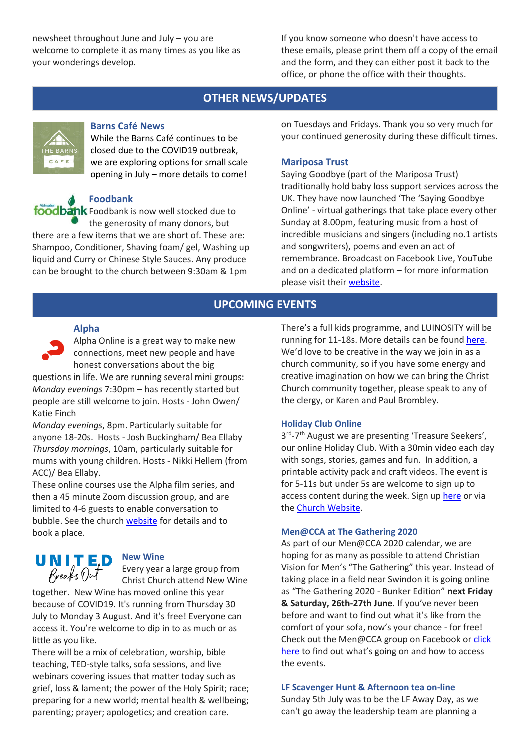newsheet throughout June and July – you are welcome to complete it as many times as you like as your wonderings develop.

If you know someone who doesn't have access to these emails, please print them off a copy of the email and the form, and they can either post it back to the office, or phone the office with their thoughts.

# **OTHER NEWS/UPDATES**



#### **Barns Café News**

While the Barns Café continues to be closed due to the COVID19 outbreak, we are exploring options for small scale opening in July – more details to come!

# **Foodbank**

foodbank Foodbank is now well stocked due to the generosity of many donors, but

there are a few items that we are short of. These are: Shampoo, Conditioner, Shaving foam/ gel, Washing up liquid and Curry or Chinese Style Sauces. Any produce can be brought to the church between 9:30am & 1pm

on Tuesdays and Fridays. Thank you so very much for your continued generosity during these difficult times.

## **Mariposa Trust**

Saying Goodbye (part of the Mariposa Trust) traditionally hold baby loss support services across the UK. They have now launched 'The 'Saying Goodbye Online' - virtual gatherings that take place every other Sunday at 8.00pm, featuring music from a host of incredible musicians and singers (including no.1 artists and songwriters), poems and even an act of remembrance. Broadcast on Facebook Live, YouTube and on a dedicated platform – for more information please visit their [website.](http://www.sayinggoodbye.org/)

# **UPCOMING EVENTS**

## **Alpha**

Alpha Online is a great way to make new connections, meet new people and have honest conversations about the big

questions in life. We are running several mini groups: *Monday evenings* 7:30pm – has recently started but people are still welcome to join. Hosts - John Owen/ Katie Finch

*Monday evenings*, 8pm. Particularly suitable for anyone 18-20s. Hosts - Josh Buckingham/ Bea Ellaby *Thursday mornings*, 10am, particularly suitable for mums with young children. Hosts - Nikki Hellem (from ACC)/ Bea Ellaby.

These online courses use the Alpha film series, and then a 45 minute Zoom discussion group, and are limited to 4-6 guests to enable conversation to bubble. See the church [website](http://www.cca.uk.net/explore-faith/) for details and to book a place.

**UNITED** New Wine Every year a large group from Christ Church attend New Wine

together. New Wine has moved online this year because of COVID19. It's running from Thursday 30 July to Monday 3 August. And it's free! Everyone can access it. You're welcome to dip in to as much or as little as you like.

There will be a mix of celebration, worship, bible teaching, TED-style talks, sofa sessions, and live webinars covering issues that matter today such as grief, loss & lament; the power of the Holy Spirit; race; preparing for a new world; mental health & wellbeing; parenting; prayer; apologetics; and creation care.

There's a full kids programme, and LUINOSITY will be running for 11-18s. More details can be found [here.](https://www.new-wine.org/breaksout) We'd love to be creative in the way we join in as a church community, so if you have some energy and creative imagination on how we can bring the Christ Church community together, please speak to any of the clergy, or Karen and Paul Brombley.

### **Holiday Club Online**

3<sup>rd</sup>-7<sup>th</sup> August we are presenting 'Treasure Seekers', our online Holiday Club. With a 30min video each day with songs, stories, games and fun. In addition, a printable activity pack and craft videos. The event is for 5-11s but under 5s are welcome to sign up to access content during the week. Sign up [here](https://cca.churchsuite.co.uk/events/8gtagnys) or via the [Church Website.](https://cca.uk.net/kids/)

### **Men@CCA at The Gathering 2020**

As part of our Men@CCA 2020 calendar, we are hoping for as many as possible to attend Christian Vision for Men's "The Gathering" this year. Instead of taking place in a field near Swindon it is going online as "The Gathering 2020 - Bunker Edition" **next Friday & Saturday, 26th-27th June**. If you've never been before and want to find out what it's like from the comfort of your sofa, now's your chance - for free! Check out the Men@CCA group on Facebook or click [here](http://www.thegatheringformen.com/tg20online) to find out what's going on and how to access the events.

### **LF Scavenger Hunt & Afternoon tea on-line**

Sunday 5th July was to be the LF Away Day, as we can't go away the leadership team are planning a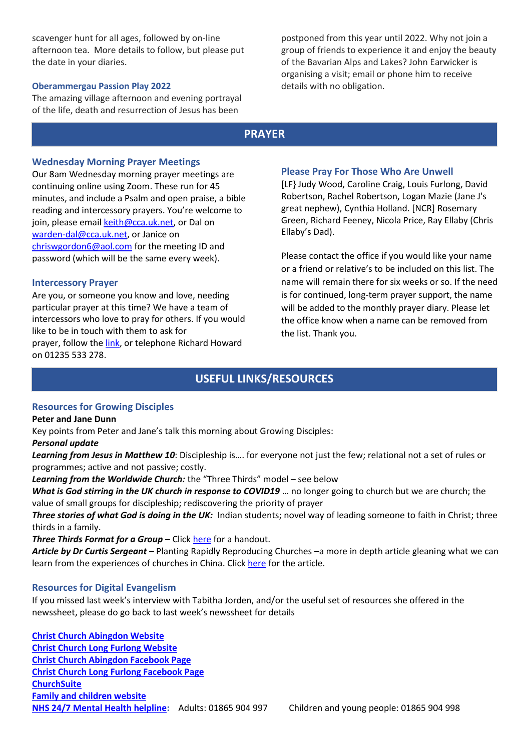scavenger hunt for all ages, followed by on-line afternoon tea. More details to follow, but please put the date in your diaries.

### **Oberammergau Passion Play 2022**

The amazing village afternoon and evening portrayal of the life, death and resurrection of Jesus has been

postponed from this year until 2022. Why not join a group of friends to experience it and enjoy the beauty of the Bavarian Alps and Lakes? John Earwicker is organising a visit; email or phone him to receive details with no obligation.

# **PRAYER**

## **Wednesday Morning Prayer Meetings**

Our 8am Wednesday morning prayer meetings are continuing online using Zoom. These run for 45 minutes, and include a Psalm and open praise, a bible reading and intercessory prayers. You're welcome to join, please emai[l keith@cca.uk.net,](mailto:keith@cca.uk.net) or Dal on [warden-dal@cca.uk.net,](mailto:warden-dal@cca.uk.net) or Janice on [chriswgordon6@aol.com](mailto:chriswgordon6@aol.com) for the meeting ID and password (which will be the same every week).

### **Intercessory Prayer**

Are you, or someone you know and love, needing particular prayer at this time? We have a team of intercessors who love to pray for others. If you would like to be in touch with them to ask for prayer, follow the [link,](https://docs.google.com/forms/d/e/1FAIpQLSfT-6Me8FrVVQa50ZUXThiDnzQ3aNU-nR12dM2JZQrD78vnLA/viewform) or telephone Richard Howard on 01235 533 278.

## **Please Pray For Those Who Are Unwell**

[LF} Judy Wood, Caroline Craig, Louis Furlong, David Robertson, Rachel Robertson, Logan Mazie (Jane J's great nephew), Cynthia Holland. [NCR] Rosemary Green, Richard Feeney, Nicola Price, Ray Ellaby (Chris Ellaby's Dad).

Please contact the office if you would like your name or a friend or relative's to be included on this list. The name will remain there for six weeks or so. If the need is for continued, long-term prayer support, the name will be added to the monthly prayer diary. Please let the office know when a name can be removed from the list. Thank you.

# **USEFUL LINKS/RESOURCES**

## **Resources for Growing Disciples**

### **Peter and Jane Dunn**

Key points from Peter and Jane's talk this morning about Growing Disciples:

### *Personal update*

*Learning from Jesus in Matthew 10*: Discipleship is…. for everyone not just the few; relational not a set of rules or programmes; active and not passive; costly.

*Learning from the Worldwide Church:* the "Three Thirds" model – see below

*What is God stirring in the UK church in response to COVID19* … no longer going to church but we are church; the value of small groups for discipleship; rediscovering the priority of prayer

*Three stories of what God is doing in the UK:* Indian students; novel way of leading someone to faith in Christ; three thirds in a family.

**Three Thirds Format for a Group** – Click [here](https://cdn.filestackcontent.com/jbDSxJyiQpu9NqX4zxNR) for a handout.

*Article by Dr Curtis Sergeant* – Planting Rapidly Reproducing Churches –a more in depth article gleaning what we can learn from the experiences of churches in China. Click [here](https://cdn.filestackcontent.com/tRlJshHhS6KiURfjnRcs) for the article.

### **Resources for Digital Evangelism**

If you missed last week's interview with Tabitha Jorden, and/or the useful set of resources she offered in the newssheet, please do go back to last week's newssheet for details

**[Christ Church Abingdon Website](http://www.cca.uk.net/) [Christ Church Long Furlong Website](http://www.longfurlongchurch.org.uk/) [Christ Church Abingdon Facebook Page](https://www.facebook.com/christchurchabingdon) [Christ Church Long Furlong Facebook Page](https://www.facebook.com/Christ-Church-Long-Furlong-761191873912044/) [ChurchSuite](https://login.churchsuite.com/?account=cca) Family and [children website](http://www.ccafamilyresources.com/) [NHS 24/7 Mental Health helpline:](https://www.oxfordhealth.nhs.uk/news/24-7-mental-health-helpline-replaces-111-in-oxfordshire-and-buckinghamshire/)** Adults: 01865 904 997 Children and young people: 01865 904 998